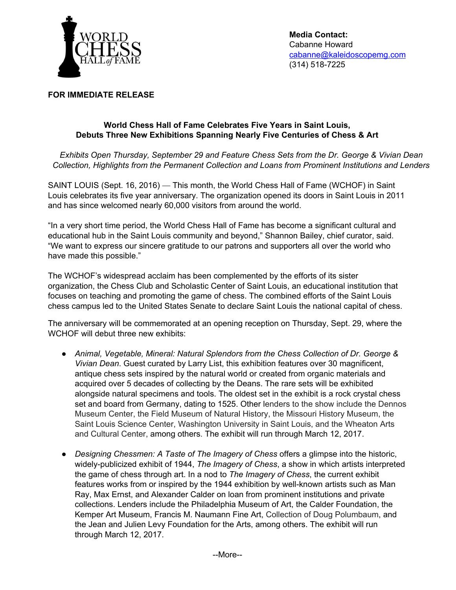

**Media Contact:** Cabanne Howard [cabanne@kaleidoscopemg.com](mailto:cabanne@kaleidoscopemg.com) (314) 518-7225

#### **FOR IMMEDIATE RELEASE**

## **World Chess Hall of Fame Celebrates Five Years in Saint Louis, Debuts Three New Exhibitions Spanning Nearly Five Centuries of Chess & Art**

*Exhibits Open Thursday, September 29 and Feature Chess Sets from the Dr. George & Vivian Dean Collection, Highlights from the Permanent Collection and Loans from Prominent Institutions and Lenders*

SAINT LOUIS (Sept. 16, 2016) — This month, the World Chess Hall of Fame (WCHOF) in Saint Louis celebrates its five year anniversary. The organization opened its doors in Saint Louis in 2011 and has since welcomed nearly 60,000 visitors from around the world.

"In a very short time period, the World Chess Hall of Fame has become a significant cultural and educational hub in the Saint Louis community and beyond," Shannon Bailey, chief curator, said. "We want to express our sincere gratitude to our patrons and supporters all over the world who have made this possible."

The WCHOF's widespread acclaim has been complemented by the efforts of its sister organization, the Chess Club and Scholastic Center of Saint Louis, an educational institution that focuses on teaching and promoting the game of chess. The combined efforts of the Saint Louis chess campus led to the United States Senate to declare Saint Louis the national capital of chess.

The anniversary will be commemorated at an opening reception on Thursday, Sept. 29, where the WCHOF will debut three new exhibits:

- *Animal, Vegetable, Mineral: Natural Splendors from the Chess Collection of Dr. George & Vivian Dean*. Guest curated by Larry List, this exhibition features over 30 magnificent, antique chess sets inspired by the natural world or created from organic materials and acquired over 5 decades of collecting by the Deans. The rare sets will be exhibited alongside natural specimens and tools. The oldest set in the exhibit is a rock crystal chess set and board from Germany, dating to 1525. Other lenders to the show include the Dennos Museum Center, the Field Museum of Natural History, the Missouri History Museum, the Saint Louis Science Center, Washington University in Saint Louis, and the Wheaton Arts and Cultural Center, among others. The exhibit will run through March 12, 2017.
- *Designing Chessmen: A Taste of The Imagery of Chess* offers a glimpse into the historic, widely-publicized exhibit of 1944, *The Imagery of Chess*, a show in which artists interpreted the game of chess through art. In a nod to *The Imagery of Chess*, the current exhibit features works from or inspired by the 1944 exhibition by well-known artists such as Man Ray, Max Ernst, and Alexander Calder on loan from prominent institutions and private collections. Lenders include the Philadelphia Museum of Art, the Calder Foundation, the Kemper Art Museum, Francis M. Naumann Fine Art, Collection of Doug Polumbaum, and the Jean and Julien Levy Foundation for the Arts, among others. The exhibit will run through March 12, 2017.